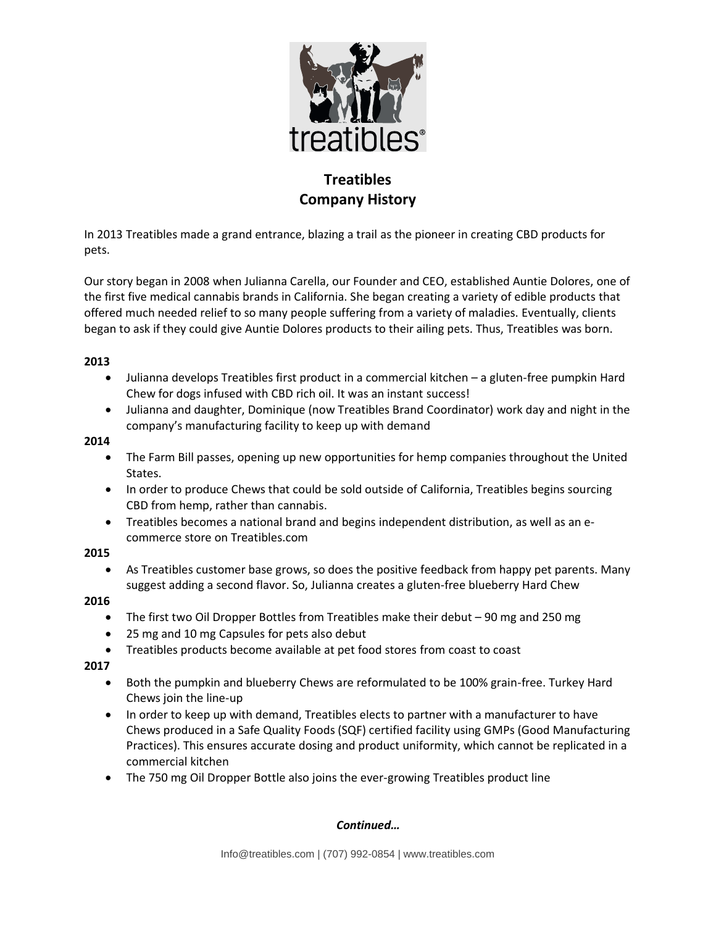

# **Treatibles Company History**

In 2013 Treatibles made a grand entrance, blazing a trail as the pioneer in creating CBD products for pets.

Our story began in 2008 when Julianna Carella, our Founder and CEO, established Auntie Dolores, one of the first five medical cannabis brands in California. She began creating a variety of edible products that offered much needed relief to so many people suffering from a variety of maladies. Eventually, clients began to ask if they could give Auntie Dolores products to their ailing pets. Thus, Treatibles was born.

#### **2013**

- Julianna develops Treatibles first product in a commercial kitchen a gluten-free pumpkin Hard Chew for dogs infused with CBD rich oil. It was an instant success!
- Julianna and daughter, Dominique (now Treatibles Brand Coordinator) work day and night in the company's manufacturing facility to keep up with demand

#### **2014**

- The Farm Bill passes, opening up new opportunities for hemp companies throughout the United States.
- In order to produce Chews that could be sold outside of California, Treatibles begins sourcing CBD from hemp, rather than cannabis.
- Treatibles becomes a national brand and begins independent distribution, as well as an ecommerce store on Treatibles.com

### **2015**

• As Treatibles customer base grows, so does the positive feedback from happy pet parents. Many suggest adding a second flavor. So, Julianna creates a gluten-free blueberry Hard Chew

### **2016**

- The first two Oil Dropper Bottles from Treatibles make their debut 90 mg and 250 mg
- 25 mg and 10 mg Capsules for pets also debut
- Treatibles products become available at pet food stores from coast to coast

### **2017**

- Both the pumpkin and blueberry Chews are reformulated to be 100% grain-free. Turkey Hard Chews join the line-up
- In order to keep up with demand, Treatibles elects to partner with a manufacturer to have Chews produced in a Safe Quality Foods (SQF) certified facility using GMPs (Good Manufacturing Practices). This ensures accurate dosing and product uniformity, which cannot be replicated in a commercial kitchen
- The 750 mg Oil Dropper Bottle also joins the ever-growing Treatibles product line

### *Continued…*